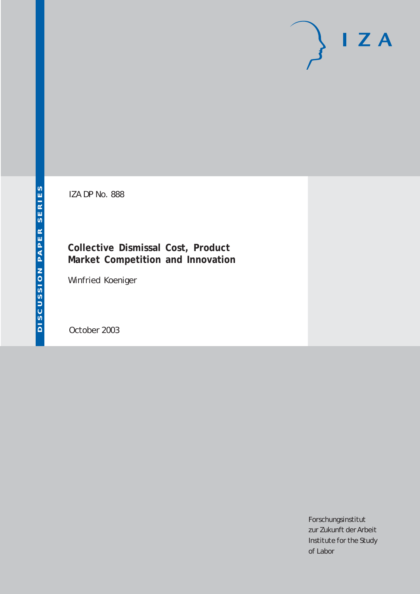# $I Z A$

IZA DP No. 888

## **Collective Dismissal Cost, Product Market Competition and Innovation**

Winfried Koeniger

October 2003

Forschungsinstitut zur Zukunft der Arbeit Institute for the Study of Labor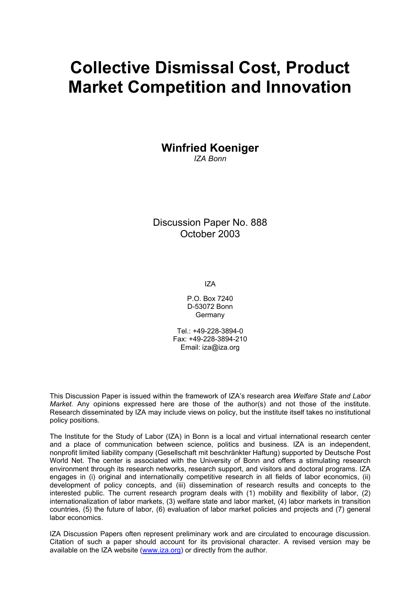# **Collective Dismissal Cost, Product Market Competition and Innovation**

**Winfried Koeniger** 

*IZA Bonn* 

Discussion Paper No. 888 October 2003

IZA

P.O. Box 7240 D-53072 Bonn Germany

Tel.: +49-228-3894-0 Fax: +49-228-3894-210 Email: [iza@iza.org](mailto:iza@iza.org)

This Discussion Paper is issued within the framework of IZA's research area *Welfare State and Labor Market.* Any opinions expressed here are those of the author(s) and not those of the institute. Research disseminated by IZA may include views on policy, but the institute itself takes no institutional policy positions.

The Institute for the Study of Labor (IZA) in Bonn is a local and virtual international research center and a place of communication between science, politics and business. IZA is an independent, nonprofit limited liability company (Gesellschaft mit beschränkter Haftung) supported by Deutsche Post World Net. The center is associated with the University of Bonn and offers a stimulating research environment through its research networks, research support, and visitors and doctoral programs. IZA engages in (i) original and internationally competitive research in all fields of labor economics, (ii) development of policy concepts, and (iii) dissemination of research results and concepts to the interested public. The current research program deals with (1) mobility and flexibility of labor, (2) internationalization of labor markets, (3) welfare state and labor market, (4) labor markets in transition countries, (5) the future of labor, (6) evaluation of labor market policies and projects and (7) general labor economics.

IZA Discussion Papers often represent preliminary work and are circulated to encourage discussion. Citation of such a paper should account for its provisional character. A revised version may be available on the IZA website ([www.iza.org](http://www.iza.org/)) or directly from the author.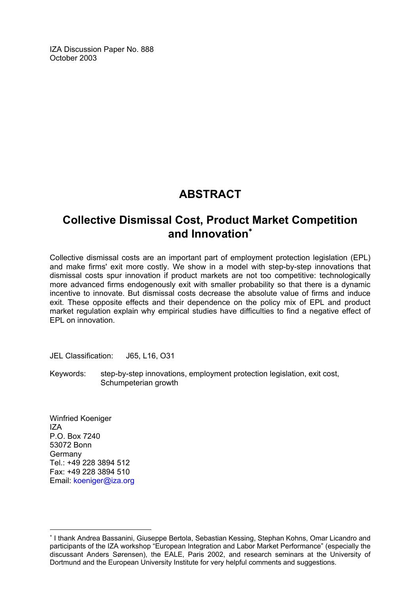IZA Discussion Paper No. 888 October 2003

## **ABSTRACT**

## **Collective Dismissal Cost, Product Market Competition and Innovation**[∗](#page-2-0)

Collective dismissal costs are an important part of employment protection legislation (EPL) and make firms' exit more costly. We show in a model with step-by-step innovations that dismissal costs spur innovation if product markets are not too competitive: technologically more advanced firms endogenously exit with smaller probability so that there is a dynamic incentive to innovate. But dismissal costs decrease the absolute value of firms and induce exit. These opposite effects and their dependence on the policy mix of EPL and product market regulation explain why empirical studies have difficulties to find a negative effect of EPL on innovation.

JEL Classification: J65, L16, O31

Keywords: step-by-step innovations, employment protection legislation, exit cost, Schumpeterian growth

Winfried Koeniger IZA P.O. Box 7240 53072 Bonn Germany Tel.: +49 228 3894 512 Fax: +49 228 3894 510 Email: [koeniger@iza.org](mailto:koeniger@iza.org)

 $\overline{a}$ 

<span id="page-2-0"></span><sup>∗</sup> I thank Andrea Bassanini, Giuseppe Bertola, Sebastian Kessing, Stephan Kohns, Omar Licandro and participants of the IZA workshop "European Integration and Labor Market Performance" (especially the discussant Anders Sørensen), the EALE, Paris 2002, and research seminars at the University of Dortmund and the European University Institute for very helpful comments and suggestions.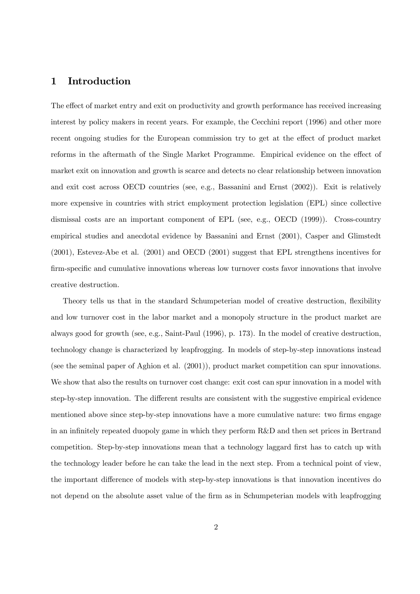#### 1 Introduction

The effect of market entry and exit on productivity and growth performance has received increasing interest by policy makers in recent years. For example, the Cecchini report (1996) and other more recent ongoing studies for the European commission try to get at the effect of product market reforms in the aftermath of the Single Market Programme. Empirical evidence on the effect of market exit on innovation and growth is scarce and detects no clear relationship between innovation and exit cost across OECD countries (see, e.g., Bassanini and Ernst (2002)). Exit is relatively more expensive in countries with strict employment protection legislation (EPL) since collective dismissal costs are an important component of EPL (see, e.g., OECD (1999)). Cross-country empirical studies and anecdotal evidence by Bassanini and Ernst (2001), Casper and Glimstedt (2001), Estevez-Abe et al. (2001) and OECD (2001) suggest that EPL strengthens incentives for firm-specific and cumulative innovations whereas low turnover costs favor innovations that involve creative destruction.

Theory tells us that in the standard Schumpeterian model of creative destruction, flexibility and low turnover cost in the labor market and a monopoly structure in the product market are always good for growth (see, e.g., Saint-Paul (1996), p. 173). In the model of creative destruction, technology change is characterized by leapfrogging. In models of step-by-step innovations instead (see the seminal paper of Aghion et al. (2001)), product market competition can spur innovations. We show that also the results on turnover cost change: exit cost can spur innovation in a model with step-by-step innovation. The different results are consistent with the suggestive empirical evidence mentioned above since step-by-step innovations have a more cumulative nature: two firms engage in an infinitely repeated duopoly game in which they perform R&D and then set prices in Bertrand competition. Step-by-step innovations mean that a technology laggard first has to catch up with the technology leader before he can take the lead in the next step. From a technical point of view, the important difference of models with step-by-step innovations is that innovation incentives do not depend on the absolute asset value of the firm as in Schumpeterian models with leapfrogging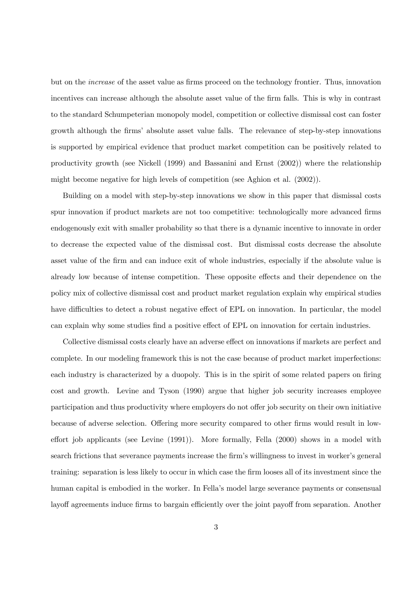but on the increase of the asset value as firms proceed on the technology frontier. Thus, innovation incentives can increase although the absolute asset value of the firm falls. This is why in contrast to the standard Schumpeterian monopoly model, competition or collective dismissal cost can foster growth although the firms' absolute asset value falls. The relevance of step-by-step innovations is supported by empirical evidence that product market competition can be positively related to productivity growth (see Nickell (1999) and Bassanini and Ernst (2002)) where the relationship might become negative for high levels of competition (see Aghion et al. (2002)).

Building on a model with step-by-step innovations we show in this paper that dismissal costs spur innovation if product markets are not too competitive: technologically more advanced firms endogenously exit with smaller probability so that there is a dynamic incentive to innovate in order to decrease the expected value of the dismissal cost. But dismissal costs decrease the absolute asset value of the firm and can induce exit of whole industries, especially if the absolute value is already low because of intense competition. These opposite effects and their dependence on the policy mix of collective dismissal cost and product market regulation explain why empirical studies have difficulties to detect a robust negative effect of EPL on innovation. In particular, the model can explain why some studies find a positive effect of EPL on innovation for certain industries.

Collective dismissal costs clearly have an adverse effect on innovations if markets are perfect and complete. In our modeling framework this is not the case because of product market imperfections: each industry is characterized by a duopoly. This is in the spirit of some related papers on firing cost and growth. Levine and Tyson (1990) argue that higher job security increases employee participation and thus productivity where employers do not offer job security on their own initiative because of adverse selection. Offering more security compared to other firms would result in loweffort job applicants (see Levine (1991)). More formally, Fella (2000) shows in a model with search frictions that severance payments increase the firm's willingness to invest in worker's general training: separation is less likely to occur in which case the firm looses all of its investment since the human capital is embodied in the worker. In Fella's model large severance payments or consensual layoff agreements induce firms to bargain efficiently over the joint payoff from separation. Another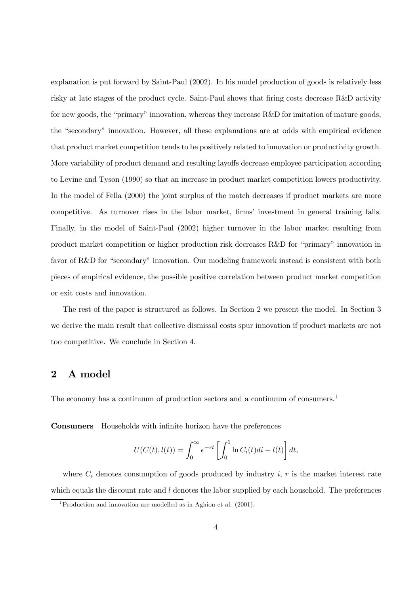explanation is put forward by Saint-Paul (2002). In his model production of goods is relatively less risky at late stages of the product cycle. Saint-Paul shows that firing costs decrease R&D activity for new goods, the "primary" innovation, whereas they increase R&D for imitation of mature goods, the "secondary" innovation. However, all these explanations are at odds with empirical evidence that product market competition tends to be positively related to innovation or productivity growth. More variability of product demand and resulting layoffs decrease employee participation according to Levine and Tyson (1990) so that an increase in product market competition lowers productivity. In the model of Fella (2000) the joint surplus of the match decreases if product markets are more competitive. As turnover rises in the labor market, firms' investment in general training falls. Finally, in the model of Saint-Paul (2002) higher turnover in the labor market resulting from product market competition or higher production risk decreases R&D for "primary" innovation in favor of R&D for "secondary" innovation. Our modeling framework instead is consistent with both pieces of empirical evidence, the possible positive correlation between product market competition or exit costs and innovation.

The rest of the paper is structured as follows. In Section 2 we present the model. In Section 3 we derive the main result that collective dismissal costs spur innovation if product markets are not too competitive. We conclude in Section 4.

#### 2 A model

The economy has a continuum of production sectors and a continuum of consumers.<sup>1</sup>

Consumers Households with infinite horizon have the preferences

$$
U(C(t), l(t)) = \int_0^\infty e^{-rt} \left[ \int_0^1 \ln C_i(t)di - l(t) \right] dt,
$$

where  $C_i$  denotes consumption of goods produced by industry i, r is the market interest rate which equals the discount rate and  $l$  denotes the labor supplied by each household. The preferences

<sup>1</sup>Production and innovation are modelled as in Aghion et al. (2001).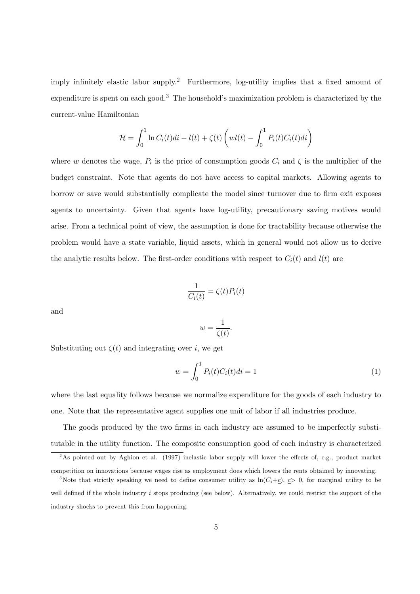imply infinitely elastic labor supply.<sup>2</sup> Furthermore, log-utility implies that a fixed amount of expenditure is spent on each good.3 The household's maximization problem is characterized by the current-value Hamiltonian

$$
\mathcal{H} = \int_0^1 \ln C_i(t)di - l(t) + \zeta(t) \left(wl(t) - \int_0^1 P_i(t)C_i(t)di\right)
$$

where w denotes the wage,  $P_i$  is the price of consumption goods  $C_i$  and  $\zeta$  is the multiplier of the budget constraint. Note that agents do not have access to capital markets. Allowing agents to borrow or save would substantially complicate the model since turnover due to firm exit exposes agents to uncertainty. Given that agents have log-utility, precautionary saving motives would arise. From a technical point of view, the assumption is done for tractability because otherwise the problem would have a state variable, liquid assets, which in general would not allow us to derive the analytic results below. The first-order conditions with respect to  $C_i(t)$  and  $l(t)$  are

$$
\frac{1}{C_i(t)} = \zeta(t)P_i(t)
$$

and

$$
w = \frac{1}{\zeta(t)}.
$$

Substituting out  $\zeta(t)$  and integrating over i, we get

$$
w = \int_0^1 P_i(t)C_i(t)dt = 1
$$
\n(1)

where the last equality follows because we normalize expenditure for the goods of each industry to one. Note that the representative agent supplies one unit of labor if all industries produce.

The goods produced by the two firms in each industry are assumed to be imperfectly substitutable in the utility function. The composite consumption good of each industry is characterized

<sup>&</sup>lt;sup>2</sup>As pointed out by Aghion et al. (1997) inelastic labor supply will lower the effects of, e.g., product market

competition on innovations because wages rise as employment does which lowers the rents obtained by innovating.

<sup>&</sup>lt;sup>3</sup>Note that strictly speaking we need to define consumer utility as  $\ln(C_i+\underline{c})$ ,  $\underline{c}>0$ , for marginal utility to be well defined if the whole industry  $i$  stops producing (see below). Alternatively, we could restrict the support of the industry shocks to prevent this from happening.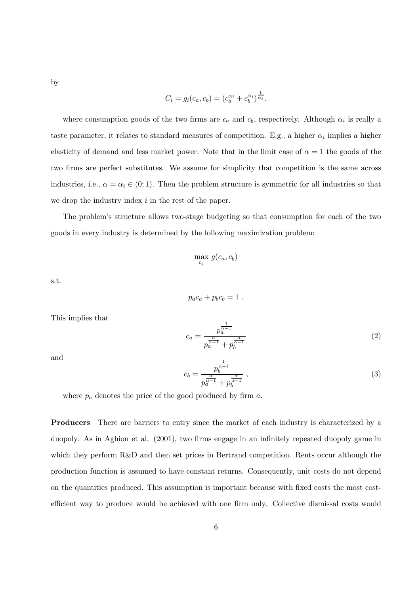by

$$
C_i = g_i(c_a, c_b) = (c_a^{\alpha_i} + c_b^{\alpha_i})^{\frac{1}{\alpha_i}},
$$

where consumption goods of the two firms are  $c_a$  and  $c_b$ , respectively. Although  $\alpha_i$  is really a taste parameter, it relates to standard measures of competition. E.g., a higher  $\alpha_i$  implies a higher elasticity of demand and less market power. Note that in the limit case of  $\alpha = 1$  the goods of the two firms are perfect substitutes. We assume for simplicity that competition is the same across industries, i.e.,  $\alpha = \alpha_i \in (0, 1)$ . Then the problem structure is symmetric for all industries so that we drop the industry index  $i$  in the rest of the paper.

The problem's structure allows two-stage budgeting so that consumption for each of the two goods in every industry is determined by the following maximization problem:

$$
\max_{c_j} g(c_a, c_b)
$$

s.t.

$$
p_a c_a + p_b c_b = 1.
$$

This implies that

$$
c_a = \frac{p_a^{\frac{1}{\alpha - 1}}}{p_a^{\frac{\alpha}{\alpha - 1}} + p_b^{\frac{\alpha}{\alpha - 1}}} \tag{2}
$$

and

$$
c_b = \frac{p_b^{\frac{1}{\alpha - 1}}}{p_a^{\frac{\alpha}{\alpha - 1}} + p_b^{\frac{\alpha}{\alpha - 1}}},
$$
\n(3)

where  $p_a$  denotes the price of the good produced by firm  $a$ .

Producers There are barriers to entry since the market of each industry is characterized by a duopoly. As in Aghion et al. (2001), two firms engage in an infinitely repeated duopoly game in which they perform R&D and then set prices in Bertrand competition. Rents occur although the production function is assumed to have constant returns. Consequently, unit costs do not depend on the quantities produced. This assumption is important because with fixed costs the most costefficient way to produce would be achieved with one firm only. Collective dismissal costs would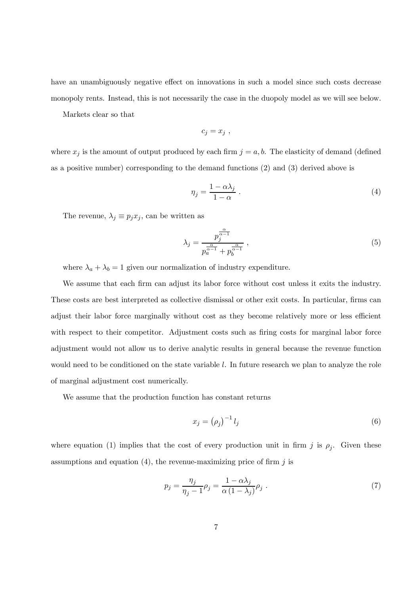have an unambiguously negative effect on innovations in such a model since such costs decrease monopoly rents. Instead, this is not necessarily the case in the duopoly model as we will see below.

Markets clear so that

$$
c_j = x_j \text{ ,}
$$

where  $x_j$  is the amount of output produced by each firm  $j = a, b$ . The elasticity of demand (defined as a positive number) corresponding to the demand functions (2) and (3) derived above is

$$
\eta_j = \frac{1 - \alpha \lambda_j}{1 - \alpha} \ . \tag{4}
$$

The revenue,  $\lambda_j \equiv p_j x_j$ , can be written as

$$
\lambda_j = \frac{p_j^{\frac{\alpha}{\alpha-1}}}{p_a^{\frac{\alpha}{\alpha-1}} + p_b^{\frac{\alpha}{\alpha-1}}},\qquad(5)
$$

where  $\lambda_a + \lambda_b = 1$  given our normalization of industry expenditure.

We assume that each firm can adjust its labor force without cost unless it exits the industry. These costs are best interpreted as collective dismissal or other exit costs. In particular, firms can adjust their labor force marginally without cost as they become relatively more or less efficient with respect to their competitor. Adjustment costs such as firing costs for marginal labor force adjustment would not allow us to derive analytic results in general because the revenue function would need to be conditioned on the state variable l. In future research we plan to analyze the role of marginal adjustment cost numerically.

We assume that the production function has constant returns

$$
x_j = \left(\rho_j\right)^{-1} l_j \tag{6}
$$

where equation (1) implies that the cost of every production unit in firm j is  $\rho_j$ . Given these assumptions and equation (4), the revenue-maximizing price of firm  $j$  is

$$
p_j = \frac{\eta_j}{\eta_j - 1} \rho_j = \frac{1 - \alpha \lambda_j}{\alpha (1 - \lambda_j)} \rho_j \tag{7}
$$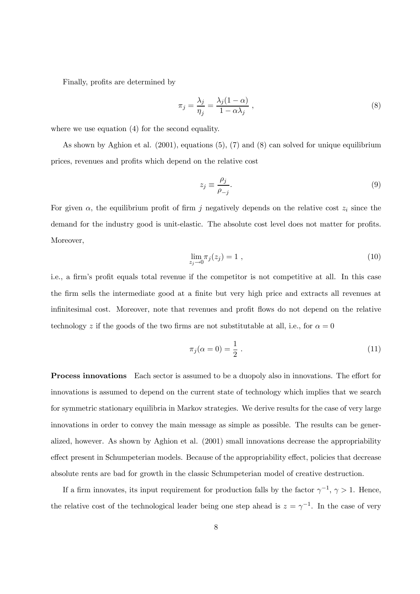Finally, profits are determined by

$$
\pi_j = \frac{\lambda_j}{\eta_j} = \frac{\lambda_j (1 - \alpha)}{1 - \alpha \lambda_j} \,,\tag{8}
$$

where we use equation (4) for the second equality.

As shown by Aghion et al. (2001), equations (5), (7) and (8) can solved for unique equilibrium prices, revenues and profits which depend on the relative cost

$$
z_j \equiv \frac{\rho_j}{\rho_{-j}}.\tag{9}
$$

For given  $\alpha$ , the equilibrium profit of firm j negatively depends on the relative cost  $z_i$  since the demand for the industry good is unit-elastic. The absolute cost level does not matter for profits. Moreover,

$$
\lim_{z_j \to 0} \pi_j(z_j) = 1 \tag{10}
$$

i.e., a firm's profit equals total revenue if the competitor is not competitive at all. In this case the firm sells the intermediate good at a finite but very high price and extracts all revenues at infinitesimal cost. Moreover, note that revenues and profit flows do not depend on the relative technology z if the goods of the two firms are not substitutable at all, i.e., for  $\alpha = 0$ 

$$
\pi_j(\alpha = 0) = \frac{1}{2} \tag{11}
$$

Process innovations Each sector is assumed to be a duopoly also in innovations. The effort for innovations is assumed to depend on the current state of technology which implies that we search for symmetric stationary equilibria in Markov strategies. We derive results for the case of very large innovations in order to convey the main message as simple as possible. The results can be generalized, however. As shown by Aghion et al. (2001) small innovations decrease the appropriability effect present in Schumpeterian models. Because of the appropriability effect, policies that decrease absolute rents are bad for growth in the classic Schumpeterian model of creative destruction.

If a firm innovates, its input requirement for production falls by the factor  $\gamma^{-1}$ ,  $\gamma > 1$ . Hence, the relative cost of the technological leader being one step ahead is  $z = \gamma^{-1}$ . In the case of very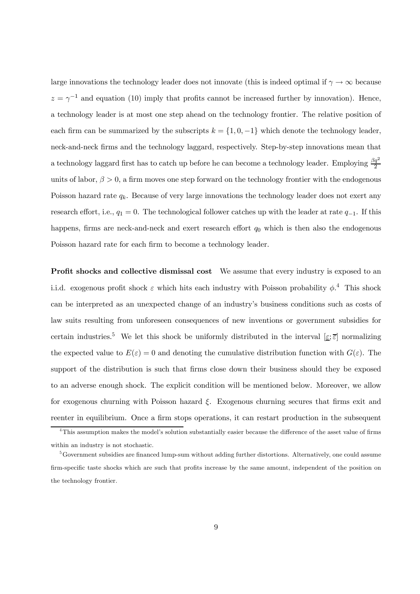large innovations the technology leader does not innovate (this is indeed optimal if  $\gamma \to \infty$  because  $z = \gamma^{-1}$  and equation (10) imply that profits cannot be increased further by innovation). Hence, a technology leader is at most one step ahead on the technology frontier. The relative position of each firm can be summarized by the subscripts  $k = \{1, 0, -1\}$  which denote the technology leader, neck-and-neck firms and the technology laggard, respectively. Step-by-step innovations mean that a technology laggard first has to catch up before he can become a technology leader. Employing  $\frac{\beta q^2}{2}$ units of labor,  $\beta > 0$ , a firm moves one step forward on the technology frontier with the endogenous Poisson hazard rate  $q_k$ . Because of very large innovations the technology leader does not exert any research effort, i.e.,  $q_1 = 0$ . The technological follower catches up with the leader at rate  $q_{-1}$ . If this happens, firms are neck-and-neck and exert research effort  $q_0$  which is then also the endogenous Poisson hazard rate for each firm to become a technology leader.

Profit shocks and collective dismissal cost We assume that every industry is exposed to an i.i.d. exogenous profit shock  $\varepsilon$  which hits each industry with Poisson probability  $\phi$ <sup>4</sup>. This shock can be interpreted as an unexpected change of an industry's business conditions such as costs of law suits resulting from unforeseen consequences of new inventions or government subsidies for certain industries.<sup>5</sup> We let this shock be uniformly distributed in the interval  $[\underline{\varepsilon}; \overline{\varepsilon}]$  normalizing the expected value to  $E(\varepsilon)=0$  and denoting the cumulative distribution function with  $G(\varepsilon)$ . The support of the distribution is such that firms close down their business should they be exposed to an adverse enough shock. The explicit condition will be mentioned below. Moreover, we allow for exogenous churning with Poisson hazard  $\xi$ . Exogenous churning secures that firms exit and reenter in equilibrium. Once a firm stops operations, it can restart production in the subsequent

<sup>&</sup>lt;sup>4</sup>This assumption makes the model's solution substantially easier because the difference of the asset value of firms within an industry is not stochastic.

<sup>&</sup>lt;sup>5</sup>Government subsidies are financed lump-sum without adding further distortions. Alternatively, one could assume firm-specific taste shocks which are such that profits increase by the same amount, independent of the position on the technology frontier.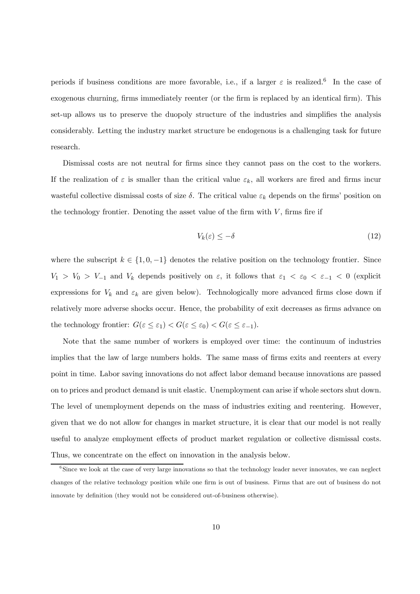periods if business conditions are more favorable, i.e., if a larger  $\varepsilon$  is realized.<sup>6</sup> In the case of exogenous churning, firms immediately reenter (or the firm is replaced by an identical firm). This set-up allows us to preserve the duopoly structure of the industries and simplifies the analysis considerably. Letting the industry market structure be endogenous is a challenging task for future research.

Dismissal costs are not neutral for firms since they cannot pass on the cost to the workers. If the realization of  $\varepsilon$  is smaller than the critical value  $\varepsilon_k$ , all workers are fired and firms incur wasteful collective dismissal costs of size  $\delta$ . The critical value  $\varepsilon_k$  depends on the firms' position on the technology frontier. Denoting the asset value of the firm with  $V$ , firms fire if

$$
V_k(\varepsilon) \le -\delta \tag{12}
$$

where the subscript  $k \in \{1, 0, -1\}$  denotes the relative position on the technology frontier. Since  $V_1 > V_0 > V_{-1}$  and  $V_k$  depends positively on  $\varepsilon$ , it follows that  $\varepsilon_1 < \varepsilon_0 < \varepsilon_{-1} < 0$  (explicit expressions for  $V_k$  and  $\varepsilon_k$  are given below). Technologically more advanced firms close down if relatively more adverse shocks occur. Hence, the probability of exit decreases as firms advance on the technology frontier:  $G(\varepsilon \leq \varepsilon_1) < G(\varepsilon \leq \varepsilon_0) < G(\varepsilon \leq \varepsilon_{-1}).$ 

Note that the same number of workers is employed over time: the continuum of industries implies that the law of large numbers holds. The same mass of firms exits and reenters at every point in time. Labor saving innovations do not affect labor demand because innovations are passed on to prices and product demand is unit elastic. Unemployment can arise if whole sectors shut down. The level of unemployment depends on the mass of industries exiting and reentering. However, given that we do not allow for changes in market structure, it is clear that our model is not really useful to analyze employment effects of product market regulation or collective dismissal costs. Thus, we concentrate on the effect on innovation in the analysis below.

<sup>&</sup>lt;sup>6</sup>Since we look at the case of very large innovations so that the technology leader never innovates, we can neglect changes of the relative technology position while one firm is out of business. Firms that are out of business do not innovate by definition (they would not be considered out-of-business otherwise).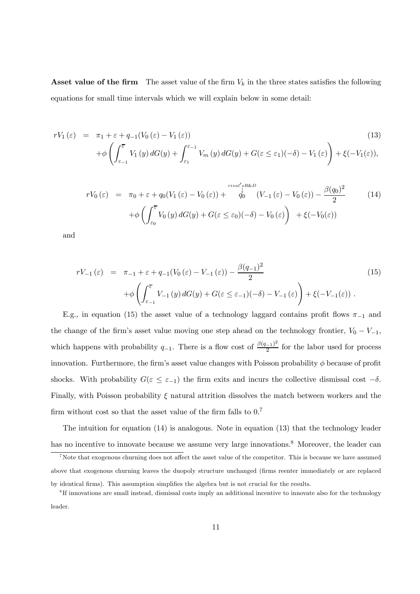**Asset value of the firm** The asset value of the firm  $V_k$  in the three states satisfies the following equations for small time intervals which we will explain below in some detail:

$$
rV_1(\varepsilon) = \pi_1 + \varepsilon + q_{-1}(V_0(\varepsilon) - V_1(\varepsilon))
$$
\n
$$
+ \phi \left( \int_{\varepsilon_{-1}}^{\overline{\varepsilon}} V_1(y) dG(y) + \int_{\varepsilon_1}^{\varepsilon_{-1}} V_m(y) dG(y) + G(\varepsilon \le \varepsilon_1)(-\delta) - V_1(\varepsilon) \right) + \xi(-V_1(\varepsilon)),
$$
\n(13)

$$
rV_0(\varepsilon) = \pi_0 + \varepsilon + q_0(V_1(\varepsilon) - V_0(\varepsilon)) + \int_{0}^{\text{rival's RRD}} (V_{-1}(\varepsilon) - V_0(\varepsilon)) - \frac{\beta(q_0)^2}{2} + \phi \left( \int_{\varepsilon_0}^{\overline{\varepsilon}} V_0(y) dG(y) + G(\varepsilon \le \varepsilon_0)(-\delta) - V_0(\varepsilon) \right) + \xi(-V_0(\varepsilon)) \tag{14}
$$

and

$$
rV_{-1}(\varepsilon) = \pi_{-1} + \varepsilon + q_{-1}(V_0(\varepsilon) - V_{-1}(\varepsilon)) - \frac{\beta(q_{-1})^2}{2}
$$
  
+ 
$$
\phi \left( \int_{\varepsilon_{-1}}^{\overline{\varepsilon}} V_{-1}(y) dG(y) + G(\varepsilon \le \varepsilon_{-1})(-\delta) - V_{-1}(\varepsilon) \right) + \xi(-V_{-1}(\varepsilon)) .
$$
 (15)

E.g., in equation (15) the asset value of a technology laggard contains profit flows  $\pi_{-1}$  and the change of the firm's asset value moving one step ahead on the technology frontier,  $V_0 - V_{-1}$ , which happens with probability  $q_{-1}$ . There is a flow cost of  $\frac{\beta(q_{-1})^2}{2}$  for the labor used for process innovation. Furthermore, the firm's asset value changes with Poisson probability  $\phi$  because of profit shocks. With probability  $G(\varepsilon \leq \varepsilon_{-1})$  the firm exits and incurs the collective dismissal cost  $-\delta$ . Finally, with Poisson probability  $\xi$  natural attrition dissolves the match between workers and the firm without cost so that the asset value of the firm falls to  $0.7$ 

The intuition for equation (14) is analogous. Note in equation (13) that the technology leader has no incentive to innovate because we assume very large innovations.<sup>8</sup> Moreover, the leader can

<sup>&</sup>lt;sup>7</sup>Note that exogenous churning does not affect the asset value of the competitor. This is because we have assumed above that exogenous churning leaves the duopoly structure unchanged (firms reenter immediately or are replaced by identical firms). This assumption simplifies the algebra but is not crucial for the results.

<sup>8</sup> If innovations are small instead, dismissal costs imply an additional incentive to innovate also for the technology leader.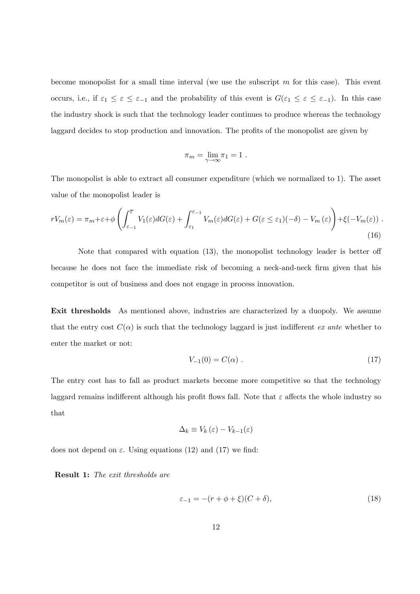become monopolist for a small time interval (we use the subscript  $m$  for this case). This event occurs, i.e., if  $\varepsilon_1 \leq \varepsilon \leq \varepsilon_{-1}$  and the probability of this event is  $G(\varepsilon_1 \leq \varepsilon \leq \varepsilon_{-1})$ . In this case the industry shock is such that the technology leader continues to produce whereas the technology laggard decides to stop production and innovation. The profits of the monopolist are given by

$$
\pi_m = \lim_{\gamma \to \infty} \pi_1 = 1.
$$

The monopolist is able to extract all consumer expenditure (which we normalized to 1). The asset value of the monopolist leader is

$$
rV_m(\varepsilon) = \pi_m + \varepsilon + \phi \left( \int_{\varepsilon_{-1}}^{\overline{\varepsilon}} V_1(\varepsilon) dG(\varepsilon) + \int_{\varepsilon_1}^{\varepsilon_{-1}} V_m(\varepsilon) dG(\varepsilon) + G(\varepsilon \le \varepsilon_1)(-\delta) - V_m(\varepsilon) \right) + \xi(-V_m(\varepsilon)) \tag{16}
$$

Note that compared with equation (13), the monopolist technology leader is better off because he does not face the immediate risk of becoming a neck-and-neck firm given that his competitor is out of business and does not engage in process innovation.

Exit thresholds As mentioned above, industries are characterized by a duopoly. We assume that the entry cost  $C(\alpha)$  is such that the technology laggard is just indifferent ex ante whether to enter the market or not:

$$
V_{-1}(0) = C(\alpha) . \t\t(17)
$$

The entry cost has to fall as product markets become more competitive so that the technology laggard remains indifferent although his profit flows fall. Note that  $\varepsilon$  affects the whole industry so that

$$
\Delta_k \equiv V_k(\varepsilon) - V_{k-1}(\varepsilon)
$$

does not depend on  $\varepsilon$ . Using equations (12) and (17) we find:

Result 1: The exit thresholds are

$$
\varepsilon_{-1} = -(r + \phi + \xi)(C + \delta),\tag{18}
$$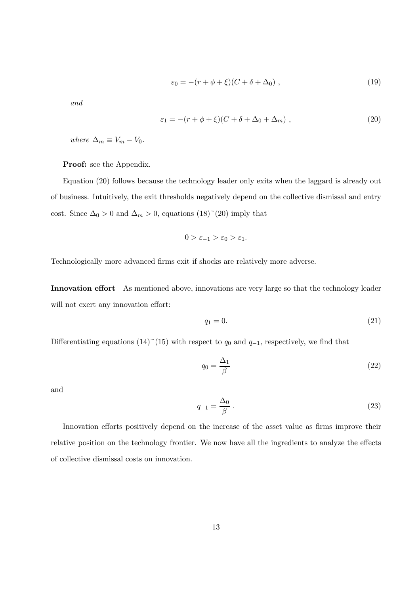$$
\varepsilon_0 = -(r + \phi + \xi)(C + \delta + \Delta_0), \qquad (19)
$$

and

$$
\varepsilon_1 = -(r + \phi + \xi)(C + \delta + \Delta_0 + \Delta_m), \qquad (20)
$$

where  $\Delta_m \equiv V_m - V_0$ .

Proof: see the Appendix.

Equation (20) follows because the technology leader only exits when the laggard is already out of business. Intuitively, the exit thresholds negatively depend on the collective dismissal and entry cost. Since  $\Delta_0 > 0$  and  $\Delta_m > 0$ , equations  $(18)^{2}(20)$  imply that

$$
0 > \varepsilon_{-1} > \varepsilon_0 > \varepsilon_1.
$$

Technologically more advanced firms exit if shocks are relatively more adverse.

Innovation effort As mentioned above, innovations are very large so that the technology leader will not exert any innovation effort:

$$
q_1 = 0.\t\t(21)
$$

Differentiating equations (14)<sup>~</sup>(15) with respect to  $q_0$  and  $q_{-1}$ , respectively, we find that

$$
q_0 = \frac{\Delta_1}{\beta} \tag{22}
$$

and

$$
q_{-1} = \frac{\Delta_0}{\beta} \tag{23}
$$

Innovation efforts positively depend on the increase of the asset value as firms improve their relative position on the technology frontier. We now have all the ingredients to analyze the effects of collective dismissal costs on innovation.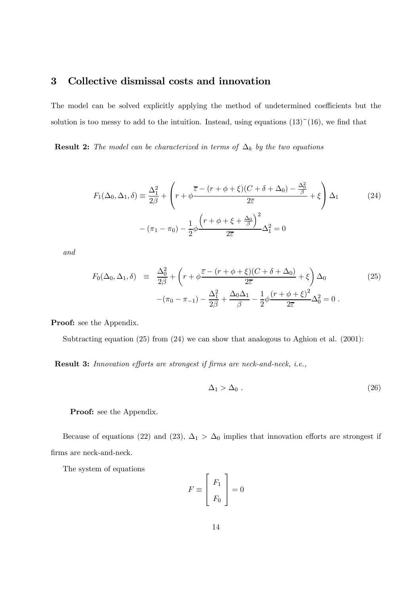#### 3 Collective dismissal costs and innovation

The model can be solved explicitly applying the method of undetermined coefficients but the solution is too messy to add to the intuition. Instead, using equations  $(13)^\sim(16)$ , we find that

**Result 2:** The model can be characterized in terms of  $\Delta_k$  by the two equations

$$
F_1(\Delta_0, \Delta_1, \delta) \equiv \frac{\Delta_1^2}{2\beta} + \left(r + \phi \frac{\overline{\varepsilon} - (r + \phi + \xi)(C + \delta + \Delta_0) - \frac{\Delta_0^2}{\beta}}{2\overline{\varepsilon}} + \xi\right) \Delta_1
$$
(24)  

$$
- (\pi_1 - \pi_0) - \frac{1}{2}\phi \frac{\left(r + \phi + \xi + \frac{\Delta_0}{\beta}\right)^2}{2\overline{\varepsilon}} \Delta_1^2 = 0
$$

and

$$
F_0(\Delta_0, \Delta_1, \delta) \equiv \frac{\Delta_0^2}{2\beta} + \left(r + \phi \frac{\overline{\varepsilon} - (r + \phi + \xi)(C + \delta + \Delta_0)}{2\overline{\varepsilon}} + \xi\right) \Delta_0 \tag{25}
$$

$$
-(\pi_0 - \pi_{-1}) - \frac{\Delta_1^2}{2\beta} + \frac{\Delta_0 \Delta_1}{\beta} - \frac{1}{2}\phi \frac{(r + \phi + \xi)^2}{2\overline{\varepsilon}} \Delta_0^2 = 0 .
$$

Proof: see the Appendix.

Subtracting equation (25) from (24) we can show that analogous to Aghion et al. (2001):

Result 3: Innovation efforts are strongest if firms are neck-and-neck, i.e.,

$$
\Delta_1 > \Delta_0 \tag{26}
$$

Proof: see the Appendix.

Because of equations (22) and (23),  $\Delta_1 > \Delta_0$  implies that innovation efforts are strongest if firms are neck-and-neck.

The system of equations

$$
F \equiv \left[ \begin{array}{c} F_1 \\ F_0 \end{array} \right] = 0
$$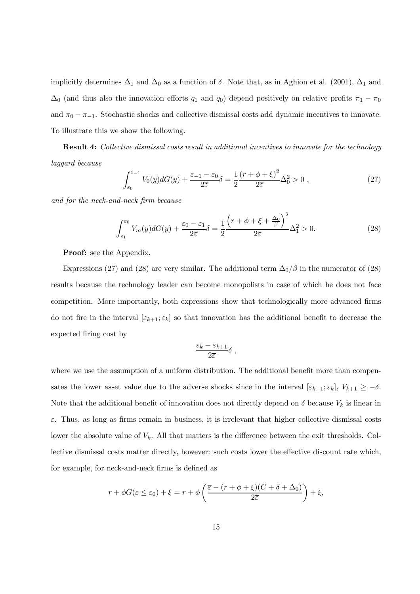implicitly determines  $\Delta_1$  and  $\Delta_0$  as a function of  $\delta$ . Note that, as in Aghion et al. (2001),  $\Delta_1$  and  $\Delta_0$  (and thus also the innovation efforts  $q_1$  and  $q_0$ ) depend positively on relative profits  $\pi_1 - \pi_0$ and  $\pi_0 - \pi_{-1}$ . Stochastic shocks and collective dismissal costs add dynamic incentives to innovate. To illustrate this we show the following.

Result 4: Collective dismissal costs result in additional incentives to innovate for the technology laggard because

$$
\int_{\varepsilon_0}^{\varepsilon_{-1}} V_0(y) dG(y) + \frac{\varepsilon_{-1} - \varepsilon_0}{2\overline{\varepsilon}} \delta = \frac{1}{2} \frac{(r + \phi + \xi)^2}{2\overline{\varepsilon}} \Delta_0^2 > 0 , \qquad (27)
$$

and for the neck-and-neck firm because

$$
\int_{\varepsilon_1}^{\varepsilon_0} V_m(y) dG(y) + \frac{\varepsilon_0 - \varepsilon_1}{2\overline{\varepsilon}} \delta = \frac{1}{2} \frac{\left(r + \phi + \xi + \frac{\Delta_0}{\beta}\right)^2}{2\overline{\varepsilon}} \Delta_1^2 > 0.
$$
 (28)

**Proof:** see the Appendix.

Expressions (27) and (28) are very similar. The additional term  $\Delta_0/\beta$  in the numerator of (28) results because the technology leader can become monopolists in case of which he does not face competition. More importantly, both expressions show that technologically more advanced firms do not fire in the interval  $[\varepsilon_{k+1}; \varepsilon_k]$  so that innovation has the additional benefit to decrease the expected firing cost by

$$
\frac{\varepsilon_k-\varepsilon_{k+1}}{2\overline{\varepsilon}}\delta\ ,
$$

where we use the assumption of a uniform distribution. The additional benefit more than compensates the lower asset value due to the adverse shocks since in the interval  $[\varepsilon_{k+1}; \varepsilon_k]$ ,  $V_{k+1} \geq -\delta$ . Note that the additional benefit of innovation does not directly depend on  $\delta$  because  $V_k$  is linear in  $\varepsilon$ . Thus, as long as firms remain in business, it is irrelevant that higher collective dismissal costs lower the absolute value of  $V_k$ . All that matters is the difference between the exit thresholds. Collective dismissal costs matter directly, however: such costs lower the effective discount rate which, for example, for neck-and-neck firms is defined as

$$
r + \phi G(\varepsilon \le \varepsilon_0) + \xi = r + \phi \left( \frac{\overline{\varepsilon} - (r + \phi + \xi)(C + \delta + \Delta_0)}{2\overline{\varepsilon}} \right) + \xi,
$$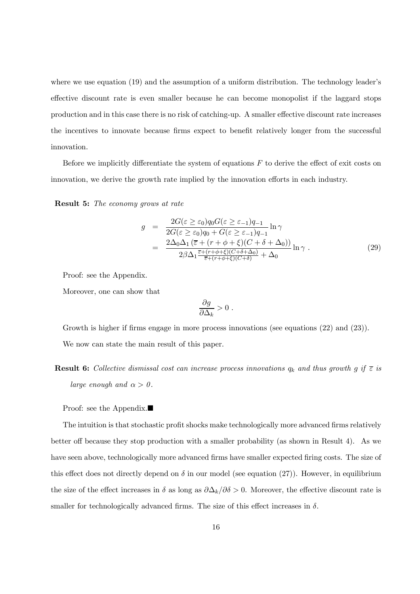where we use equation (19) and the assumption of a uniform distribution. The technology leader's effective discount rate is even smaller because he can become monopolist if the laggard stops production and in this case there is no risk of catching-up. A smaller effective discount rate increases the incentives to innovate because firms expect to benefit relatively longer from the successful innovation.

Before we implicitly differentiate the system of equations  $F$  to derive the effect of exit costs on innovation, we derive the growth rate implied by the innovation efforts in each industry.

Result 5: The economy grows at rate

$$
g = \frac{2G(\varepsilon \ge \varepsilon_0)q_0G(\varepsilon \ge \varepsilon_{-1})q_{-1}}{2G(\varepsilon \ge \varepsilon_0)q_0 + G(\varepsilon \ge \varepsilon_{-1})q_{-1}}\ln \gamma
$$
  

$$
= \frac{2\Delta_0\Delta_1(\overline{\varepsilon} + (r + \phi + \xi)(C + \delta + \Delta_0))}{2\beta\Delta_1\frac{\overline{\varepsilon} + (r + \phi + \xi)(C + \delta + \Delta_0)}{\overline{\varepsilon} + (r + \phi + \xi)(C + \delta)} + \Delta_0}\ln \gamma .
$$
 (29)

Proof: see the Appendix.

Moreover, one can show that

$$
\frac{\partial g}{\partial \Delta_k} > 0.
$$

Growth is higher if firms engage in more process innovations (see equations  $(22)$  and  $(23)$ ). We now can state the main result of this paper.

**Result 6:** Collective dismissal cost can increase process innovations  $q_k$  and thus growth g if  $\overline{\epsilon}$  is large enough and  $\alpha > 0$ .

Proof: see the Appendix. $\blacksquare$ 

The intuition is that stochastic profit shocks make technologically more advanced firms relatively better off because they stop production with a smaller probability (as shown in Result 4). As we have seen above, technologically more advanced firms have smaller expected firing costs. The size of this effect does not directly depend on  $\delta$  in our model (see equation (27)). However, in equilibrium the size of the effect increases in  $\delta$  as long as  $\partial \Delta_k/\partial \delta > 0$ . Moreover, the effective discount rate is smaller for technologically advanced firms. The size of this effect increases in  $\delta$ .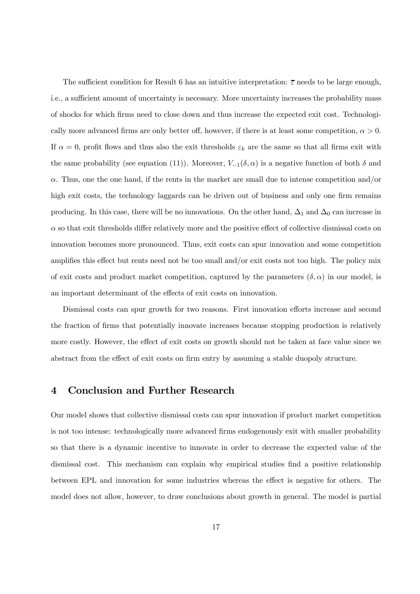The sufficient condition for Result 6 has an intuitive interpretation:  $\overline{\varepsilon}$  needs to be large enough, i.e., a sufficient amount of uncertainty is necessary. More uncertainty increases the probability mass of shocks for which firms need to close down and thus increase the expected exit cost. Technologically more advanced firms are only better off, however, if there is at least some competition,  $\alpha > 0$ . If  $\alpha = 0$ , profit flows and thus also the exit thresholds  $\varepsilon_k$  are the same so that all firms exit with the same probability (see equation (11)). Moreover,  $V_{-1}(\delta, \alpha)$  is a negative function of both  $\delta$  and  $\alpha$ . Thus, one the one hand, if the rents in the market are small due to intense competition and/or high exit costs, the technology laggards can be driven out of business and only one firm remains producing. In this case, there will be no innovations. On the other hand,  $\Delta_1$  and  $\Delta_0$  can increase in  $\alpha$  so that exit thresholds differ relatively more and the positive effect of collective dismissal costs on innovation becomes more pronounced. Thus, exit costs can spur innovation and some competition amplifies this effect but rents need not be too small and/or exit costs not too high. The policy mix of exit costs and product market competition, captured by the parameters  $(\delta, \alpha)$  in our model, is an important determinant of the effects of exit costs on innovation.

Dismissal costs can spur growth for two reasons. First innovation efforts increase and second the fraction of firms that potentially innovate increases because stopping production is relatively more costly. However, the effect of exit costs on growth should not be taken at face value since we abstract from the effect of exit costs on firm entry by assuming a stable duopoly structure.

#### 4 Conclusion and Further Research

Our model shows that collective dismissal costs can spur innovation if product market competition is not too intense: technologically more advanced firms endogenously exit with smaller probability so that there is a dynamic incentive to innovate in order to decrease the expected value of the dismissal cost. This mechanism can explain why empirical studies find a positive relationship between EPL and innovation for some industries whereas the effect is negative for others. The model does not allow, however, to draw conclusions about growth in general. The model is partial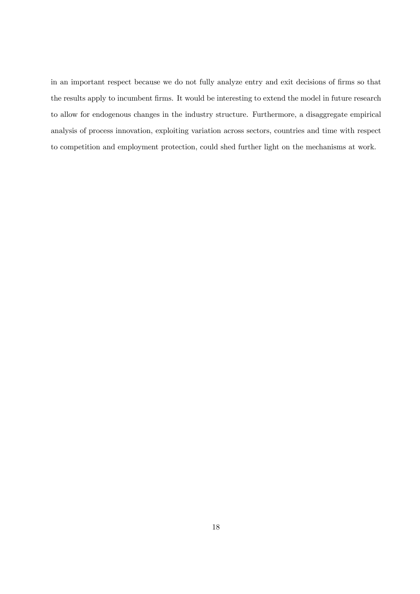in an important respect because we do not fully analyze entry and exit decisions of firms so that the results apply to incumbent firms. It would be interesting to extend the model in future research to allow for endogenous changes in the industry structure. Furthermore, a disaggregate empirical analysis of process innovation, exploiting variation across sectors, countries and time with respect to competition and employment protection, could shed further light on the mechanisms at work.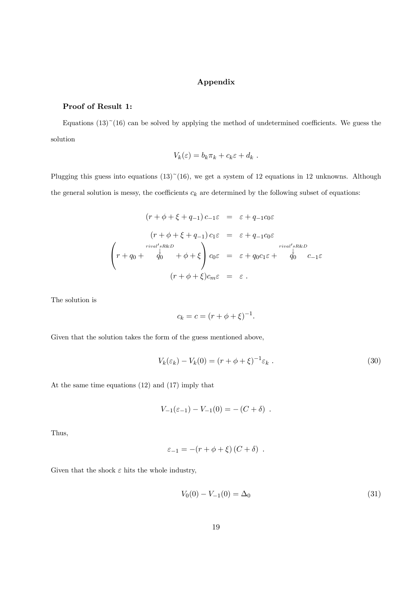#### Appendix

#### Proof of Result 1:

Equations  $(13)$ <sup> $\sim$ </sup> $(16)$  can be solved by applying the method of undetermined coefficients. We guess the solution

$$
V_k(\varepsilon) = b_k \pi_k + c_k \varepsilon + d_k.
$$

Plugging this guess into equations  $(13)$ <sup> $\sim$ </sup> $(16)$ , we get a system of 12 equations in 12 unknowns. Although the general solution is messy, the coefficients  $c_k$  are determined by the following subset of equations:

$$
(r + \phi + \xi + q_{-1}) c_{-1} \varepsilon = \varepsilon + q_{-1} c_0 \varepsilon
$$

$$
(r + \phi + \xi + q_{-1}) c_1 \varepsilon = \varepsilon + q_{-1} c_0 \varepsilon
$$

$$
\begin{pmatrix} r + q_0 + \frac{1}{q_0} & \phi + \phi + \xi \\ r + q_0 + \frac{1}{q_0} & \phi + \phi + \xi \end{pmatrix} c_0 \varepsilon = \varepsilon + q_0 c_1 \varepsilon + \frac{1}{q_0} c_{-1} \varepsilon
$$

$$
(r + \phi + \xi) c_m \varepsilon = \varepsilon.
$$

The solution is

$$
c_k = c = (r + \phi + \xi)^{-1}.
$$

Given that the solution takes the form of the guess mentioned above,

$$
V_k(\varepsilon_k) - V_k(0) = (r + \phi + \xi)^{-1} \varepsilon_k \tag{30}
$$

At the same time equations (12) and (17) imply that

$$
V_{-1}(\varepsilon_{-1}) - V_{-1}(0) = -(C + \delta) .
$$

Thus,

$$
\varepsilon_{-1} = -(r + \phi + \xi) (C + \delta) .
$$

Given that the shock  $\varepsilon$  hits the whole industry,

$$
V_0(0) - V_{-1}(0) = \Delta_0 \tag{31}
$$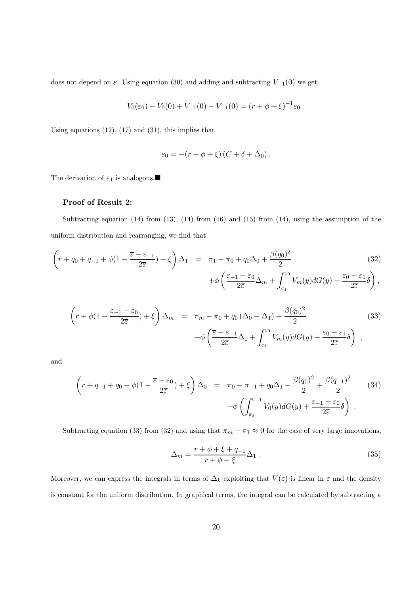does not depend on  $\varepsilon$ . Using equation (30) and adding and subtracting  $V_{-1}(0)$  we get

$$
V_0(\varepsilon_0) - V_0(0) + V_{-1}(0) - V_{-1}(0) = (r + \phi + \xi)^{-1} \varepsilon_0.
$$

Using equations  $(12)$ ,  $(17)$  and  $(31)$ , this implies that

$$
\varepsilon_0 = -(r + \phi + \xi) (C + \delta + \Delta_0).
$$

The derivation of  $\varepsilon_1$  is analogous.  $\blacksquare$ 

#### Proof of Result 2:

Subtracting equation  $(14)$  from  $(13)$ ,  $(14)$  from  $(16)$  and  $(15)$  from  $(14)$ , using the assumption of the uniform distribution and rearranging, we find that

$$
\left(r+q_0+q_{-1}+\phi(1-\frac{\overline{\varepsilon}-\varepsilon_{-1}}{2\overline{\varepsilon}})+\xi\right)\Delta_1 = \pi_1-\pi_0+q_0\Delta_0+\frac{\beta(q_0)^2}{2} +\phi\left(\frac{\varepsilon_{-1}-\varepsilon_0}{2\overline{\varepsilon}}\Delta_m+\int_{\varepsilon_1}^{\varepsilon_0}V_m(y)dG(y)+\frac{\varepsilon_0-\varepsilon_1}{2\overline{\varepsilon}}\delta\right),\tag{32}
$$

$$
\left(r+\phi(1-\frac{\varepsilon_{-1}-\varepsilon_{0}}{2\overline{\varepsilon}})+\xi\right)\Delta_{m} = \pi_{m}-\pi_{0}+q_{0}\left(\Delta_{0}-\Delta_{1}\right)+\frac{\beta(q_{0})^{2}}{2} +\phi\left(\frac{\overline{\varepsilon}-\varepsilon_{-1}}{2\overline{\varepsilon}}\Delta_{1}+\int_{\varepsilon_{1}}^{\varepsilon_{0}}V_{m}(y)dG(y)+\frac{\varepsilon_{0}-\varepsilon_{1}}{2\overline{\varepsilon}}\delta\right),
$$
\n(33)

and

$$
\left(r+q_{-1}+q_0+\phi(1-\frac{\overline{\varepsilon}-\varepsilon_0}{2\overline{\varepsilon}})+\xi\right)\Delta_0 = \pi_0-\pi_{-1}+q_0\Delta_1-\frac{\beta(q_0)^2}{2}+\frac{\beta(q_{-1})^2}{2}\qquad(34)
$$

$$
+\phi\left(\int_{\varepsilon_0}^{\varepsilon-1}V_0(y)dG(y)+\frac{\varepsilon_{-1}-\varepsilon_0}{2\overline{\varepsilon}}\delta\right).
$$

Subtracting equation (33) from (32) and using that  $\pi_m - \pi_1 \approx 0$  for the case of very large innovations,

$$
\Delta_m = \frac{r + \phi + \xi + q_{-1}}{r + \phi + \xi} \Delta_1 \,. \tag{35}
$$

Moreover, we can express the integrals in terms of  $\Delta_k$  exploiting that  $V(\varepsilon)$  is linear in  $\varepsilon$  and the density is constant for the uniform distribution. In graphical terms, the integral can be calculated by subtracting a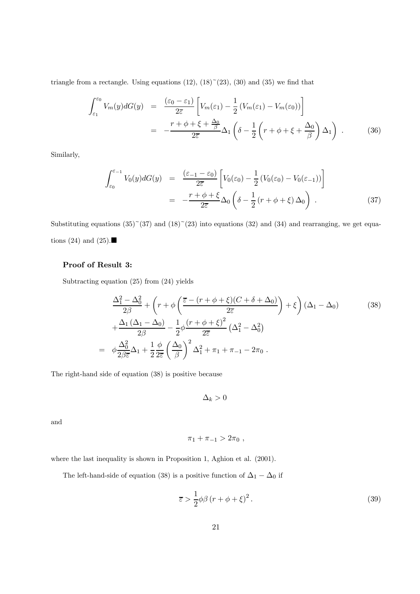triangle from a rectangle. Using equations  $(12)$ ,  $(18)^{2}(23)$ ,  $(30)$  and  $(35)$  we find that

$$
\int_{\varepsilon_1}^{\varepsilon_0} V_m(y) dG(y) = \frac{(\varepsilon_0 - \varepsilon_1)}{2\overline{\varepsilon}} \left[ V_m(\varepsilon_1) - \frac{1}{2} \left( V_m(\varepsilon_1) - V_m(\varepsilon_0) \right) \right]
$$

$$
= -\frac{r + \phi + \xi + \frac{\Delta_0}{\beta}}{2\overline{\varepsilon}} \Delta_1 \left( \delta - \frac{1}{2} \left( r + \phi + \xi + \frac{\Delta_0}{\beta} \right) \Delta_1 \right) . \tag{36}
$$

Similarly,

$$
\int_{\varepsilon_0}^{\varepsilon_{-1}} V_0(y) dG(y) = \frac{(\varepsilon_{-1} - \varepsilon_0)}{2\overline{\varepsilon}} \left[ V_0(\varepsilon_0) - \frac{1}{2} (V_0(\varepsilon_0) - V_0(\varepsilon_{-1})) \right]
$$

$$
= -\frac{r + \phi + \xi}{2\overline{\varepsilon}} \Delta_0 \left( \delta - \frac{1}{2} (r + \phi + \xi) \Delta_0 \right) . \tag{37}
$$

Substituting equations  $(35)^\sim(37)$  and  $(18)^\sim(23)$  into equations  $(32)$  and  $(34)$  and rearranging, we get equations (24) and (25).

#### Proof of Result 3:

Subtracting equation (25) from (24) yields

$$
\frac{\Delta_1^2 - \Delta_0^2}{2\beta} + \left(r + \phi \left(\frac{\overline{\varepsilon} - (r + \phi + \xi)(C + \delta + \Delta_0)}{2\overline{\varepsilon}}\right) + \xi\right) (\Delta_1 - \Delta_0) \tag{38}
$$
\n
$$
+ \frac{\Delta_1 (\Delta_1 - \Delta_0)}{2\beta} - \frac{1}{2} \phi \frac{(r + \phi + \xi)^2}{2\overline{\varepsilon}} (\Delta_1^2 - \Delta_0^2)
$$
\n
$$
= \phi \frac{\Delta_0^2}{2\beta \overline{\varepsilon}} \Delta_1 + \frac{1}{2} \frac{\phi}{2\overline{\varepsilon}} \left(\frac{\Delta_0}{\beta}\right)^2 \Delta_1^2 + \pi_1 + \pi_{-1} - 2\pi_0.
$$

The right-hand side of equation (38) is positive because

 $\Delta_k > 0$ 

and

$$
\pi_1 + \pi_{-1} > 2\pi_0 ,
$$

where the last inequality is shown in Proposition 1, Aghion et al.  $(2001)$ .

The left-hand-side of equation (38) is a positive function of  $\Delta_1 - \Delta_0$  if

$$
\overline{\varepsilon} > \frac{1}{2}\phi\beta\left(r+\phi+\xi\right)^2. \tag{39}
$$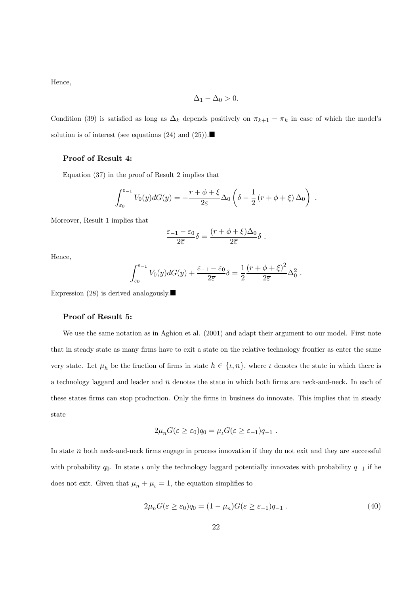Hence,

$$
\Delta_1 - \Delta_0 > 0.
$$

Condition (39) is satisfied as long as  $\Delta_k$  depends positively on  $\pi_{k+1} - \pi_k$  in case of which the model's solution is of interest (see equations (24) and (25)).

#### Proof of Result 4:

Equation (37) in the proof of Result 2 implies that

$$
\int_{\varepsilon_0}^{\varepsilon_{-1}} V_0(y) dG(y) = -\frac{r+\phi+\xi}{2\varepsilon} \Delta_0 \left( \delta - \frac{1}{2} \left( r + \phi + \xi \right) \Delta_0 \right) .
$$

Moreover, Result 1 implies that

$$
\frac{\varepsilon_{-1} - \varepsilon_0}{2\overline{\varepsilon}} \delta = \frac{(r + \phi + \xi)\Delta_0}{2\overline{\varepsilon}} \delta.
$$

Hence,

$$
\int_{\varepsilon_0}^{\varepsilon_{-1}} V_0(y) dG(y) + \frac{\varepsilon_{-1} - \varepsilon_0}{2\overline{\varepsilon}} \delta = \frac{1}{2} \frac{(r + \phi + \xi)^2}{2\overline{\varepsilon}} \Delta_0^2.
$$

Expression (28) is derived analogously.

#### Proof of Result 5:

We use the same notation as in Aghion et al. (2001) and adapt their argument to our model. First note that in steady state as many firms have to exit a state on the relative technology frontier as enter the same very state. Let  $\mu_h$  be the fraction of firms in state  $h \in \{\iota, n\}$ , where  $\iota$  denotes the state in which there is a technology laggard and leader and  $n$  denotes the state in which both firms are neck-and-neck. In each of these states firms can stop production. Only the firms in business do innovate. This implies that in steady state

$$
2\mu_n G(\varepsilon \ge \varepsilon_0)q_0 = \mu_\iota G(\varepsilon \ge \varepsilon_{-1})q_{-1} .
$$

In state n both neck-and-neck firms engage in process innovation if they do not exit and they are successful with probability  $q_0$ . In state  $\iota$  only the technology laggard potentially innovates with probability  $q_{-1}$  if he does not exit. Given that  $\mu_n + \mu_l = 1$ , the equation simplifies to

$$
2\mu_n G(\varepsilon \ge \varepsilon_0)q_0 = (1 - \mu_n)G(\varepsilon \ge \varepsilon_{-1})q_{-1} . \tag{40}
$$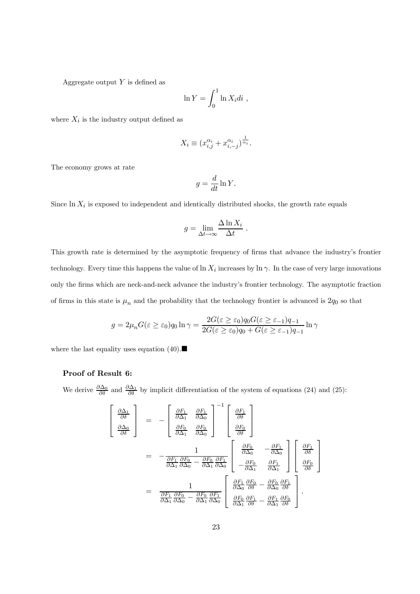Aggregate output  $Y$  is defined as

$$
\ln Y = \int_0^1 \ln X_i di ,
$$

where  $X_i$  is the industry output defined as

$$
X_i \equiv (x_{i,j}^{\alpha_i} + x_{i,-j}^{\alpha_i})^{\frac{1}{\alpha_i}}.
$$

The economy grows at rate

$$
g = \frac{d}{dt} \ln Y.
$$

Since  $\ln X_i$  is exposed to independent and identically distributed shocks, the growth rate equals

$$
g = \lim_{\Delta t \to \infty} \frac{\Delta \ln X_i}{\Delta t} .
$$

This growth rate is determined by the asymptotic frequency of firms that advance the industry's frontier technology. Every time this happens the value of  $\ln X_i$  increases by  $\ln \gamma$ . In the case of very large innovations only the firms which are neck-and-neck advance the industry's frontier technology. The asymptotic fraction of firms in this state is  $\mu_n$  and the probability that the technology frontier is advanced is  $2q_0$  so that

$$
g = 2\mu_n G(\varepsilon \ge \varepsilon_0) q_0 \ln \gamma = \frac{2G(\varepsilon \ge \varepsilon_0) q_0 G(\varepsilon \ge \varepsilon_{-1}) q_{-1}}{2G(\varepsilon \ge \varepsilon_0) q_0 + G(\varepsilon \ge \varepsilon_{-1}) q_{-1}} \ln \gamma
$$

where the last equality uses equation (40).  $\blacksquare$ 

 $\sqrt{ }$  $\perp$  $\overline{1}$ 

#### Proof of Result 6:

We derive  $\frac{\partial \Delta_0}{\partial \delta}$  and  $\frac{\partial \Delta_1}{\partial \delta}$  by implicit differentiation of the system of equations (24) and (25):

$$
\begin{aligned}\n\frac{\partial \Delta_1}{\partial \delta} \\
= & - \left[ \frac{\partial F_1}{\partial \Delta_1} \frac{\partial F_1}{\partial \Delta_0} \right]^{-1} \left[ \frac{\partial F_1}{\partial \delta} \right] \\
= & - \frac{1}{\frac{\partial F_1}{\partial \Delta_1} \frac{\partial F_0}{\partial \Delta_0}} \left[ \frac{\partial F_0}{\partial \delta} \right]\n\end{aligned}
$$
\n
$$
\begin{aligned}\n\frac{\partial F_0}{\partial \Delta_0} = \frac{1}{\frac{\partial F_1}{\partial \Delta_1} \frac{\partial F_0}{\partial \Delta_0} - \frac{\partial F_0}{\partial \Delta_1} \frac{\partial F_1}{\partial \Delta_0}}{-\frac{\partial F_0}{\partial \Delta_1} \frac{\partial F_1}{\partial \Delta_1}} \left[ \frac{\partial F_1}{\partial \Delta_1} \frac{\partial F_1}{\partial \Delta_1} \right] \left[ \frac{\partial F_1}{\partial \delta} \right]\n\end{aligned}
$$
\n
$$
= \frac{1}{\frac{\partial F_1}{\partial \Delta_1} \frac{\partial F_0}{\partial \Delta_0} - \frac{\partial F_0}{\partial \Delta_1} \frac{\partial F_1}{\partial \Delta_0}} \left[ \frac{\partial F_1}{\partial \Delta_0} \frac{\partial F_0}{\partial \delta} - \frac{\partial F_0}{\partial \Delta_0} \frac{\partial F_1}{\partial \delta} \right].
$$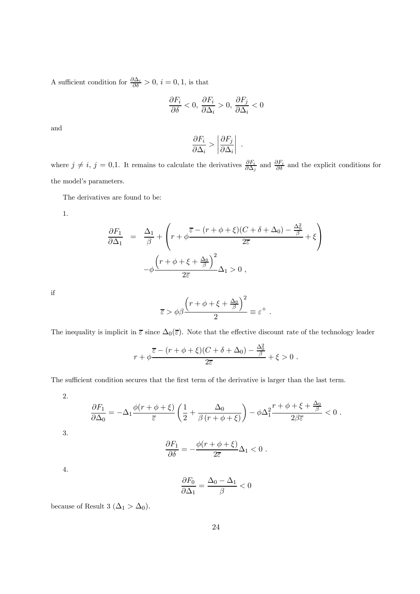A sufficient condition for  $\frac{\partial \Delta_i}{\partial \delta} > 0$ ,  $i = 0, 1$ , is that

$$
\frac{\partial F_i}{\partial \delta} < 0, \frac{\partial F_i}{\partial \Delta_i} > 0, \frac{\partial F_j}{\partial \Delta_i} < 0
$$

and

$$
\frac{\partial F_i}{\partial \Delta_i} > \left| \frac{\partial F_j}{\partial \Delta_i} \right| \ .
$$

where  $j \neq i$ ,  $j = 0,1$ . It remains to calculate the derivatives  $\frac{\partial F_i}{\partial \Delta_j}$  and  $\frac{\partial F_i}{\partial \delta}$  and the explicit conditions for the model's parameters.

The derivatives are found to be:

1.

$$
\frac{\partial F_1}{\partial \Delta_1} = \frac{\Delta_1}{\beta} + \left( r + \phi \frac{\overline{\varepsilon} - (r + \phi + \xi)(C + \delta + \Delta_0) - \frac{\Delta_0^2}{\beta}}{2\overline{\varepsilon}} + \xi \right) - \phi \frac{\left( r + \phi + \xi + \frac{\Delta_0}{\beta} \right)^2}{2\overline{\varepsilon}} \Delta_1 > 0,
$$

if

$$
\overline{\varepsilon} > \phi \beta \frac{\left(r + \phi + \xi + \frac{\Delta_0}{\beta}\right)^2}{2} \equiv \varepsilon^+ .
$$

The inequality is implicit in  $\bar{\varepsilon}$  since  $\Delta_0(\bar{\varepsilon})$ . Note that the effective discount rate of the technology leader

$$
r + \phi \frac{\overline{\varepsilon} - (r + \phi + \xi)(C + \delta + \Delta_0) - \frac{\Delta_0^2}{\beta}}{2\overline{\varepsilon}} + \xi > 0.
$$

The sufficient condition secures that the first term of the derivative is larger than the last term.

2.

$$
\frac{\partial F_1}{\partial \Delta_0} = -\Delta_1 \frac{\phi(r + \phi + \xi)}{\overline{\varepsilon}} \left( \frac{1}{2} + \frac{\Delta_0}{\beta(r + \phi + \xi)} \right) - \phi \Delta_1^2 \frac{r + \phi + \xi + \frac{\Delta_0}{\beta}}{2\beta \overline{\varepsilon}} < 0.
$$
  
3.  

$$
\frac{\partial F_1}{\partial \delta} = -\frac{\phi(r + \phi + \xi)}{2\overline{\varepsilon}} \Delta_1 < 0.
$$

4.

$$
\frac{\partial F_0}{\partial \Delta_1} = \frac{\Delta_0 - \Delta_1}{\beta} < 0
$$

because of Result 3 ( $\Delta_1 > \Delta_0$ ).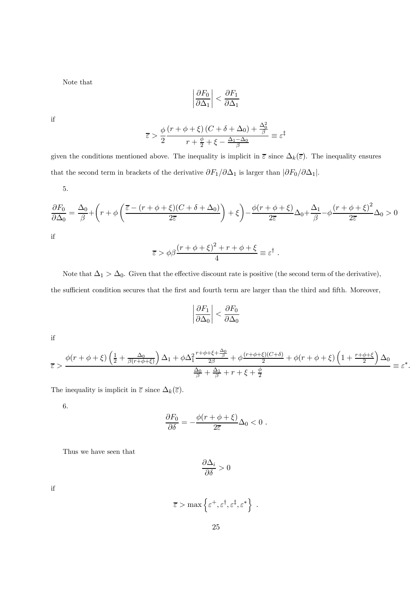Note that

$$
\left|\frac{\partial F_0}{\partial \Delta_1}\right| < \frac{\partial F_1}{\partial \Delta_1}
$$

if

$$
\overline{\varepsilon} > \frac{\phi}{2} \frac{\left(r + \phi + \xi\right)\left(C + \delta + \Delta_0\right) + \frac{\Delta_0^2}{\beta}}{r + \frac{\phi}{2} + \xi - \frac{\Delta_1 - \Delta_0}{\beta}} \equiv \varepsilon^{\ddagger}
$$

given the conditions mentioned above. The inequality is implicit in  $\overline{\varepsilon}$  since  $\Delta_k(\overline{\varepsilon})$ . The inequality ensures that the second term in brackets of the derivative  $\partial F_1/\partial \Delta_1$  is larger than  $|\partial F_0/\partial \Delta_1|$ .

5.

$$
\frac{\partial F_0}{\partial \Delta_0} = \frac{\Delta_0}{\beta} + \left(r + \phi \left(\frac{\overline{\varepsilon} - (r + \phi + \xi)(C + \delta + \Delta_0)}{2\overline{\varepsilon}}\right) + \xi\right) - \frac{\phi(r + \phi + \xi)}{2\overline{\varepsilon}}\Delta_0 + \frac{\Delta_1}{\beta} - \phi \frac{(r + \phi + \xi)^2}{2\overline{\varepsilon}}\Delta_0 > 0
$$

if

$$
\overline{\varepsilon} > \phi \beta \frac{(r + \phi + \xi)^2 + r + \phi + \xi}{4} \equiv \varepsilon^{\dagger}.
$$

Note that  $\Delta_1 > \Delta_0$ . Given that the effective discount rate is positive (the second term of the derivative), the sufficient condition secures that the first and fourth term are larger than the third and fifth. Moreover,

$$
\left|\frac{\partial F_1}{\partial \Delta_0}\right| < \frac{\partial F_0}{\partial \Delta_0}
$$

if

$$
\overline{\varepsilon} > \frac{\phi(r+\phi+\xi)\left(\frac{1}{2}+\frac{\Delta_0}{\beta(r+\phi+\xi)}\right)\Delta_1+\phi\Delta_1^2\frac{r+\phi+\xi+\frac{\Delta_0}{\beta}}{2\beta}+\phi\frac{(r+\phi+\xi)(C+\delta)}{2}+\phi(r+\phi+\xi)\left(1+\frac{r+\phi+\xi}{2}\right)\Delta_0}{\frac{\Delta_0}{\beta}+\frac{\Delta_1}{\beta}+r+\xi+\frac{\phi}{2}} \equiv \varepsilon^*.
$$

The inequality is implicit in  $\overline{\varepsilon}$  since  $\Delta_k(\overline{\varepsilon})$ .

6.

$$
\frac{\partial F_0}{\partial \delta} = -\frac{\phi(r+\phi+\xi)}{2\overline{\varepsilon}}\Delta_0 < 0.
$$

Thus we have seen that

$$
\frac{\partial \Delta_i}{\partial \delta}>0
$$

if

$$
\overline{\varepsilon} > \max\left\{\varepsilon^+, \varepsilon^\dagger, \varepsilon^\ddagger, \varepsilon^*\right\} .
$$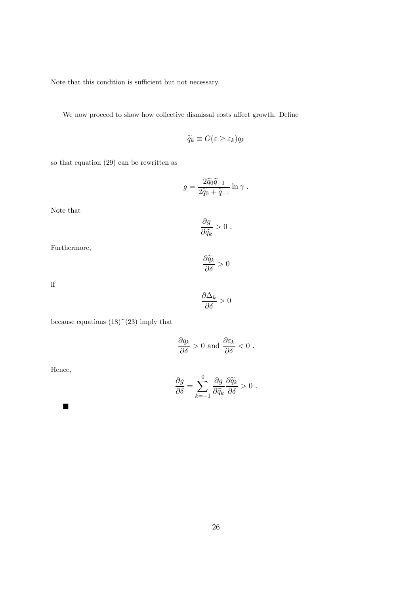Note that this condition is sufficient but not necessary.

We now proceed to show how collective dismissal costs affect growth. Define

$$
\widetilde{q}_k \equiv G(\varepsilon \ge \varepsilon_k) q_k
$$

so that equation (29) can be rewritten as

$$
g = \frac{2\widetilde{q}_0\widetilde{q}_{-1}}{2\widetilde{q}_0 + \widetilde{q}_{-1}}\ln\gamma.
$$

Note that

$$
\frac{\partial g}{\partial \widetilde{q}_k} > 0.
$$

Furthermore,

$$
\frac{\partial \widetilde{q}_k}{\partial \delta} > 0
$$

if

$$
\frac{\partial \Delta_k}{\partial \delta} > 0
$$

because equations  $(18)$ <sup> $\sim$ </sup> $(23)$  imply that

$$
\frac{\partial q_k}{\partial \delta} > 0 \text{ and } \frac{\partial \varepsilon_k}{\partial \delta} < 0 \ .
$$

Hence,

$$
\frac{\partial g}{\partial \delta} = \sum_{k=-1}^{0} \frac{\partial g}{\partial \widetilde{q}_k} \frac{\partial \widetilde{q}_k}{\partial \delta} > 0.
$$

 $\blacksquare$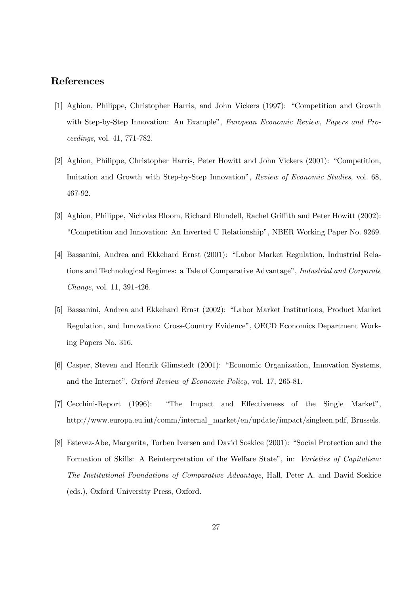#### References

- [1] Aghion, Philippe, Christopher Harris, and John Vickers (1997): "Competition and Growth with Step-by-Step Innovation: An Example", European Economic Review, Papers and Proceedings, vol. 41, 771-782.
- [2] Aghion, Philippe, Christopher Harris, Peter Howitt and John Vickers (2001): "Competition, Imitation and Growth with Step-by-Step Innovation", Review of Economic Studies, vol. 68, 467-92.
- [3] Aghion, Philippe, Nicholas Bloom, Richard Blundell, Rachel Griffith and Peter Howitt (2002): "Competition and Innovation: An Inverted U Relationship", NBER Working Paper No. 9269.
- [4] Bassanini, Andrea and Ekkehard Ernst (2001): "Labor Market Regulation, Industrial Relations and Technological Regimes: a Tale of Comparative Advantage", Industrial and Corporate Change, vol. 11, 391-426.
- [5] Bassanini, Andrea and Ekkehard Ernst (2002): "Labor Market Institutions, Product Market Regulation, and Innovation: Cross-Country Evidence", OECD Economics Department Working Papers No. 316.
- [6] Casper, Steven and Henrik Glimstedt (2001): "Economic Organization, Innovation Systems, and the Internet", Oxford Review of Economic Policy, vol. 17, 265-81.
- [7] Cecchini-Report (1996): "The Impact and Effectiveness of the Single Market", http://www.europa.eu.int/comm/internal\_market/en/update/impact/singleen.pdf, Brussels.
- [8] Estevez-Abe, Margarita, Torben Iversen and David Soskice (2001): "Social Protection and the Formation of Skills: A Reinterpretation of the Welfare State", in: Varieties of Capitalism: The Institutional Foundations of Comparative Advantage, Hall, Peter A. and David Soskice (eds.), Oxford University Press, Oxford.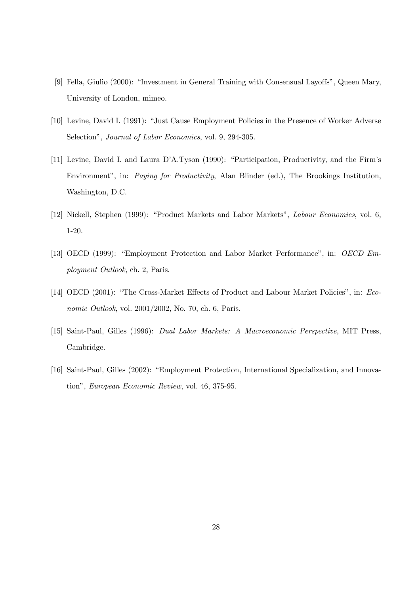- [9] Fella, Giulio (2000): "Investment in General Training with Consensual Layoffs", Queen Mary, University of London, mimeo.
- [10] Levine, David I. (1991): "Just Cause Employment Policies in the Presence of Worker Adverse Selection", *Journal of Labor Economics*, vol. 9, 294-305.
- [11] Levine, David I. and Laura D'A.Tyson (1990): "Participation, Productivity, and the Firm's Environment", in: Paying for Productivity, Alan Blinder (ed.), The Brookings Institution, Washington, D.C.
- [12] Nickell, Stephen (1999): "Product Markets and Labor Markets", Labour Economics, vol. 6, 1-20.
- [13] OECD (1999): "Employment Protection and Labor Market Performance", in: OECD Employment Outlook, ch. 2, Paris.
- [14] OECD (2001): "The Cross-Market Effects of Product and Labour Market Policies", in: Economic Outlook, vol. 2001/2002, No. 70, ch. 6, Paris.
- [15] Saint-Paul, Gilles (1996): Dual Labor Markets: A Macroeconomic Perspective, MIT Press, Cambridge.
- [16] Saint-Paul, Gilles (2002): "Employment Protection, International Specialization, and Innovation", European Economic Review, vol. 46, 375-95.